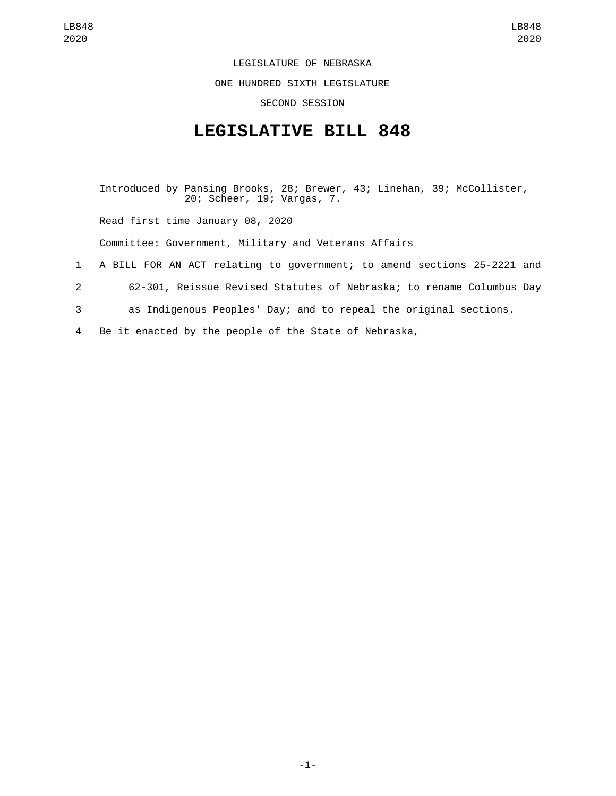LEGISLATURE OF NEBRASKA

ONE HUNDRED SIXTH LEGISLATURE

SECOND SESSION

## **LEGISLATIVE BILL 848**

Introduced by Pansing Brooks, 28; Brewer, 43; Linehan, 39; McCollister, 20; Scheer, 19; Vargas, 7. Read first time January 08, 2020 Committee: Government, Military and Veterans Affairs 1 A BILL FOR AN ACT relating to government; to amend sections 25-2221 and 2 62-301, Reissue Revised Statutes of Nebraska; to rename Columbus Day 3 as Indigenous Peoples' Day; and to repeal the original sections. 4 Be it enacted by the people of the State of Nebraska,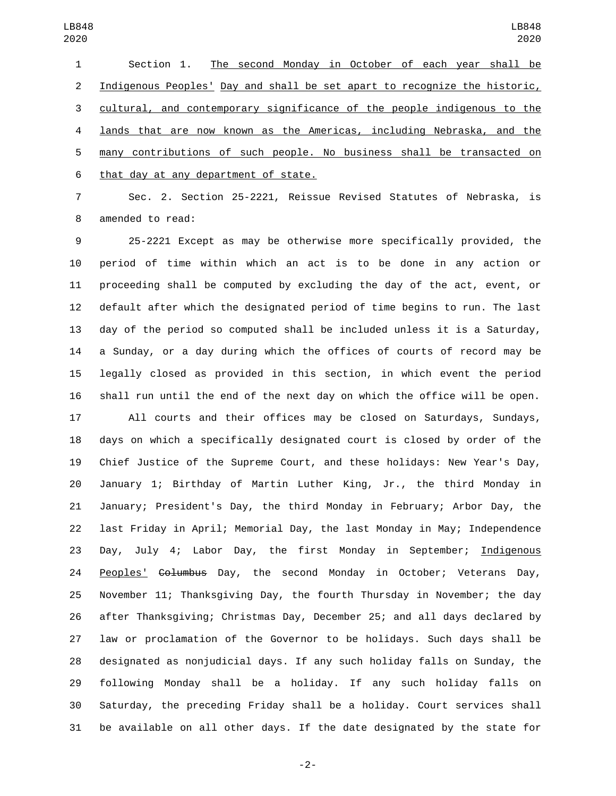Section 1. The second Monday in October of each year shall be 2 Indigenous Peoples' Day and shall be set apart to recognize the historic, cultural, and contemporary significance of the people indigenous to the lands that are now known as the Americas, including Nebraska, and the many contributions of such people. No business shall be transacted on 6 that day at any department of state.

 Sec. 2. Section 25-2221, Reissue Revised Statutes of Nebraska, is 8 amended to read:

 25-2221 Except as may be otherwise more specifically provided, the period of time within which an act is to be done in any action or proceeding shall be computed by excluding the day of the act, event, or default after which the designated period of time begins to run. The last day of the period so computed shall be included unless it is a Saturday, a Sunday, or a day during which the offices of courts of record may be legally closed as provided in this section, in which event the period shall run until the end of the next day on which the office will be open.

 All courts and their offices may be closed on Saturdays, Sundays, days on which a specifically designated court is closed by order of the Chief Justice of the Supreme Court, and these holidays: New Year's Day, January 1; Birthday of Martin Luther King, Jr., the third Monday in January; President's Day, the third Monday in February; Arbor Day, the last Friday in April; Memorial Day, the last Monday in May; Independence 23 Day, July 4; Labor Day, the first Monday in September; Indigenous 24 Peoples' Golumbus Day, the second Monday in October; Veterans Day, November 11; Thanksgiving Day, the fourth Thursday in November; the day after Thanksgiving; Christmas Day, December 25; and all days declared by law or proclamation of the Governor to be holidays. Such days shall be designated as nonjudicial days. If any such holiday falls on Sunday, the following Monday shall be a holiday. If any such holiday falls on Saturday, the preceding Friday shall be a holiday. Court services shall be available on all other days. If the date designated by the state for

-2-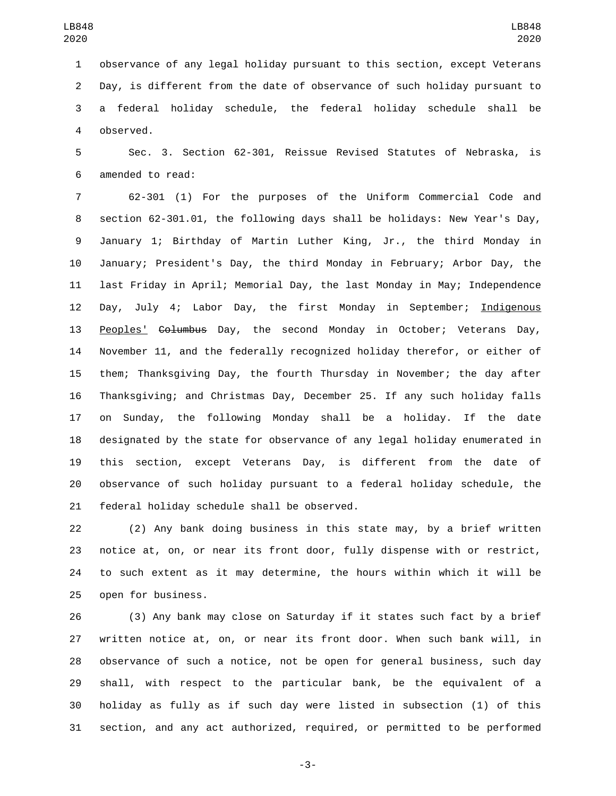observance of any legal holiday pursuant to this section, except Veterans Day, is different from the date of observance of such holiday pursuant to a federal holiday schedule, the federal holiday schedule shall be 4 observed.

 Sec. 3. Section 62-301, Reissue Revised Statutes of Nebraska, is 6 amended to read:

 62-301 (1) For the purposes of the Uniform Commercial Code and section 62-301.01, the following days shall be holidays: New Year's Day, January 1; Birthday of Martin Luther King, Jr., the third Monday in January; President's Day, the third Monday in February; Arbor Day, the last Friday in April; Memorial Day, the last Monday in May; Independence Day, July 4; Labor Day, the first Monday in September; Indigenous Peoples' Columbus Day, the second Monday in October; Veterans Day, November 11, and the federally recognized holiday therefor, or either of them; Thanksgiving Day, the fourth Thursday in November; the day after Thanksgiving; and Christmas Day, December 25. If any such holiday falls on Sunday, the following Monday shall be a holiday. If the date designated by the state for observance of any legal holiday enumerated in this section, except Veterans Day, is different from the date of observance of such holiday pursuant to a federal holiday schedule, the 21 federal holiday schedule shall be observed.

 (2) Any bank doing business in this state may, by a brief written notice at, on, or near its front door, fully dispense with or restrict, to such extent as it may determine, the hours within which it will be 25 open for business.

 (3) Any bank may close on Saturday if it states such fact by a brief written notice at, on, or near its front door. When such bank will, in observance of such a notice, not be open for general business, such day shall, with respect to the particular bank, be the equivalent of a holiday as fully as if such day were listed in subsection (1) of this section, and any act authorized, required, or permitted to be performed

-3-